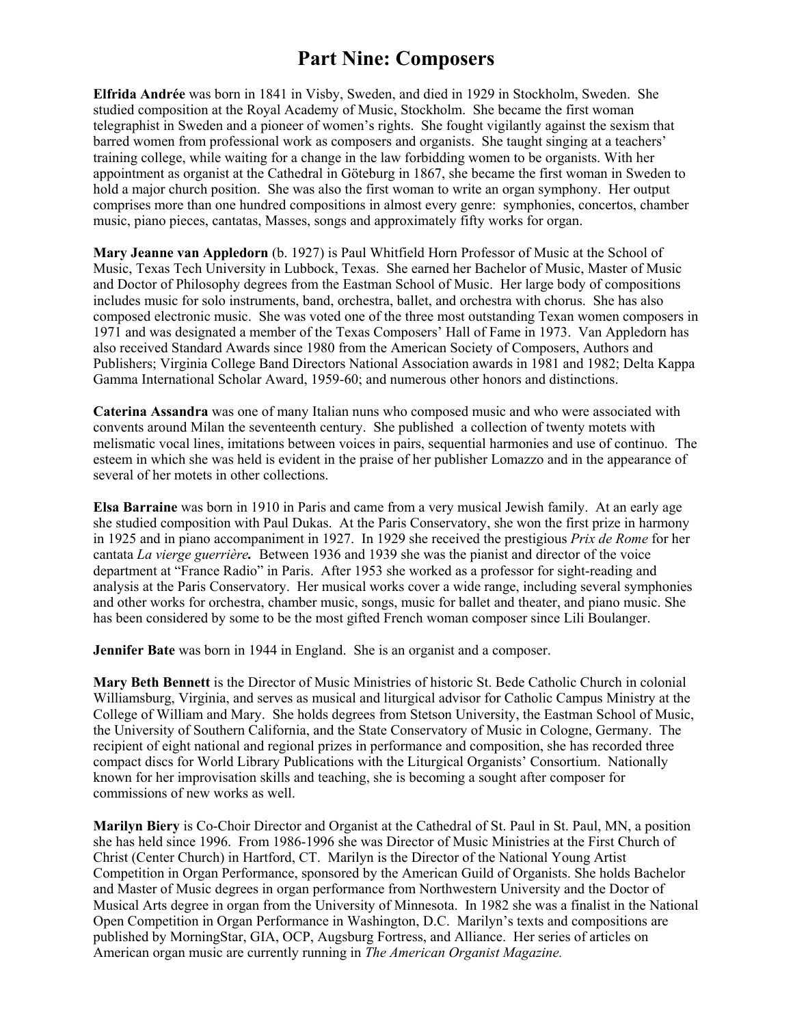## **Part Nine: Composers**

**Elfrida Andrée** was born in 1841 in Visby, Sweden, and died in 1929 in Stockholm, Sweden. She studied composition at the Royal Academy of Music, Stockholm. She became the first woman telegraphist in Sweden and a pioneer of women's rights. She fought vigilantly against the sexism that barred women from professional work as composers and organists. She taught singing at a teachers' training college, while waiting for a change in the law forbidding women to be organists. With her appointment as organist at the Cathedral in Göteburg in 1867, she became the first woman in Sweden to hold a major church position. She was also the first woman to write an organ symphony. Her output comprises more than one hundred compositions in almost every genre: symphonies, concertos, chamber music, piano pieces, cantatas, Masses, songs and approximately fifty works for organ.

**Mary Jeanne van Appledorn** (b. 1927) is Paul Whitfield Horn Professor of Music at the School of Music, Texas Tech University in Lubbock, Texas. She earned her Bachelor of Music, Master of Music and Doctor of Philosophy degrees from the Eastman School of Music. Her large body of compositions includes music for solo instruments, band, orchestra, ballet, and orchestra with chorus. She has also composed electronic music. She was voted one of the three most outstanding Texan women composers in 1971 and was designated a member of the Texas Composers' Hall of Fame in 1973. Van Appledorn has also received Standard Awards since 1980 from the American Society of Composers, Authors and Publishers; Virginia College Band Directors National Association awards in 1981 and 1982; Delta Kappa Gamma International Scholar Award, 1959-60; and numerous other honors and distinctions.

**Caterina Assandra** was one of many Italian nuns who composed music and who were associated with convents around Milan the seventeenth century. She published a collection of twenty motets with melismatic vocal lines, imitations between voices in pairs, sequential harmonies and use of continuo. The esteem in which she was held is evident in the praise of her publisher Lomazzo and in the appearance of several of her motets in other collections.

**Elsa Barraine** was born in 1910 in Paris and came from a very musical Jewish family. At an early age she studied composition with Paul Dukas. At the Paris Conservatory, she won the first prize in harmony in 1925 and in piano accompaniment in 1927. In 1929 she received the prestigious *Prix de Rome* for her cantata *La vierge guerrière.* Between 1936 and 1939 she was the pianist and director of the voice department at "France Radio" in Paris. After 1953 she worked as a professor for sight-reading and analysis at the Paris Conservatory. Her musical works cover a wide range, including several symphonies and other works for orchestra, chamber music, songs, music for ballet and theater, and piano music. She has been considered by some to be the most gifted French woman composer since Lili Boulanger.

**Jennifer Bate** was born in 1944 in England. She is an organist and a composer.

**Mary Beth Bennett** is the Director of Music Ministries of historic St. Bede Catholic Church in colonial Williamsburg, Virginia, and serves as musical and liturgical advisor for Catholic Campus Ministry at the College of William and Mary. She holds degrees from Stetson University, the Eastman School of Music, the University of Southern California, and the State Conservatory of Music in Cologne, Germany. The recipient of eight national and regional prizes in performance and composition, she has recorded three compact discs for World Library Publications with the Liturgical Organists' Consortium. Nationally known for her improvisation skills and teaching, she is becoming a sought after composer for commissions of new works as well.

**Marilyn Biery** is Co-Choir Director and Organist at the Cathedral of St. Paul in St. Paul, MN, a position she has held since 1996. From 1986-1996 she was Director of Music Ministries at the First Church of Christ (Center Church) in Hartford, CT. Marilyn is the Director of the National Young Artist Competition in Organ Performance, sponsored by the American Guild of Organists. She holds Bachelor and Master of Music degrees in organ performance from Northwestern University and the Doctor of Musical Arts degree in organ from the University of Minnesota. In 1982 she was a finalist in the National Open Competition in Organ Performance in Washington, D.C. Marilyn's texts and compositions are published by MorningStar, GIA, OCP, Augsburg Fortress, and Alliance. Her series of articles on American organ music are currently running in *The American Organist Magazine.*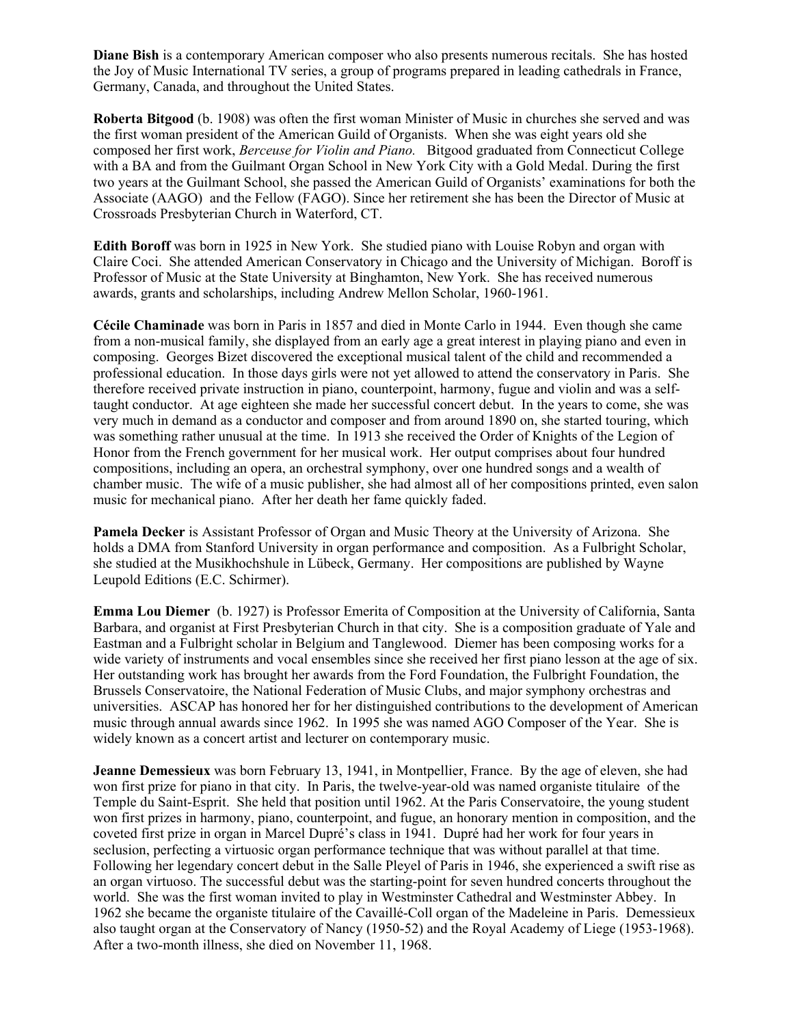**Diane Bish** is a contemporary American composer who also presents numerous recitals. She has hosted the Joy of Music International TV series, a group of programs prepared in leading cathedrals in France, Germany, Canada, and throughout the United States.

**Roberta Bitgood** (b. 1908) was often the first woman Minister of Music in churches she served and was the first woman president of the American Guild of Organists. When she was eight years old she composed her first work, *Berceuse for Violin and Piano.* Bitgood graduated from Connecticut College with a BA and from the Guilmant Organ School in New York City with a Gold Medal. During the first two years at the Guilmant School, she passed the American Guild of Organists' examinations for both the Associate (AAGO) and the Fellow (FAGO). Since her retirement she has been the Director of Music at Crossroads Presbyterian Church in Waterford, CT.

**Edith Boroff** was born in 1925 in New York. She studied piano with Louise Robyn and organ with Claire Coci. She attended American Conservatory in Chicago and the University of Michigan. Boroff is Professor of Music at the State University at Binghamton, New York. She has received numerous awards, grants and scholarships, including Andrew Mellon Scholar, 1960-1961.

**Cécile Chaminade** was born in Paris in 1857 and died in Monte Carlo in 1944. Even though she came from a non-musical family, she displayed from an early age a great interest in playing piano and even in composing. Georges Bizet discovered the exceptional musical talent of the child and recommended a professional education. In those days girls were not yet allowed to attend the conservatory in Paris. She therefore received private instruction in piano, counterpoint, harmony, fugue and violin and was a selftaught conductor. At age eighteen she made her successful concert debut. In the years to come, she was very much in demand as a conductor and composer and from around 1890 on, she started touring, which was something rather unusual at the time. In 1913 she received the Order of Knights of the Legion of Honor from the French government for her musical work. Her output comprises about four hundred compositions, including an opera, an orchestral symphony, over one hundred songs and a wealth of chamber music. The wife of a music publisher, she had almost all of her compositions printed, even salon music for mechanical piano. After her death her fame quickly faded.

**Pamela Decker** is Assistant Professor of Organ and Music Theory at the University of Arizona. She holds a DMA from Stanford University in organ performance and composition. As a Fulbright Scholar, she studied at the Musikhochshule in Lübeck, Germany. Her compositions are published by Wayne Leupold Editions (E.C. Schirmer).

**Emma Lou Diemer** (b. 1927) is Professor Emerita of Composition at the University of California, Santa Barbara, and organist at First Presbyterian Church in that city. She is a composition graduate of Yale and Eastman and a Fulbright scholar in Belgium and Tanglewood. Diemer has been composing works for a wide variety of instruments and vocal ensembles since she received her first piano lesson at the age of six. Her outstanding work has brought her awards from the Ford Foundation, the Fulbright Foundation, the Brussels Conservatoire, the National Federation of Music Clubs, and major symphony orchestras and universities. ASCAP has honored her for her distinguished contributions to the development of American music through annual awards since 1962. In 1995 she was named AGO Composer of the Year. She is widely known as a concert artist and lecturer on contemporary music.

**Jeanne Demessieux** was born February 13, 1941, in Montpellier, France. By the age of eleven, she had won first prize for piano in that city. In Paris, the twelve-year-old was named organiste titulaire of the Temple du Saint-Esprit. She held that position until 1962. At the Paris Conservatoire, the young student won first prizes in harmony, piano, counterpoint, and fugue, an honorary mention in composition, and the coveted first prize in organ in Marcel Dupré's class in 1941. Dupré had her work for four years in seclusion, perfecting a virtuosic organ performance technique that was without parallel at that time. Following her legendary concert debut in the Salle Pleyel of Paris in 1946, she experienced a swift rise as an organ virtuoso. The successful debut was the starting-point for seven hundred concerts throughout the world. She was the first woman invited to play in Westminster Cathedral and Westminster Abbey. In 1962 she became the organiste titulaire of the Cavaillé-Coll organ of the Madeleine in Paris. Demessieux also taught organ at the Conservatory of Nancy (1950-52) and the Royal Academy of Liege (1953-1968). After a two-month illness, she died on November 11, 1968.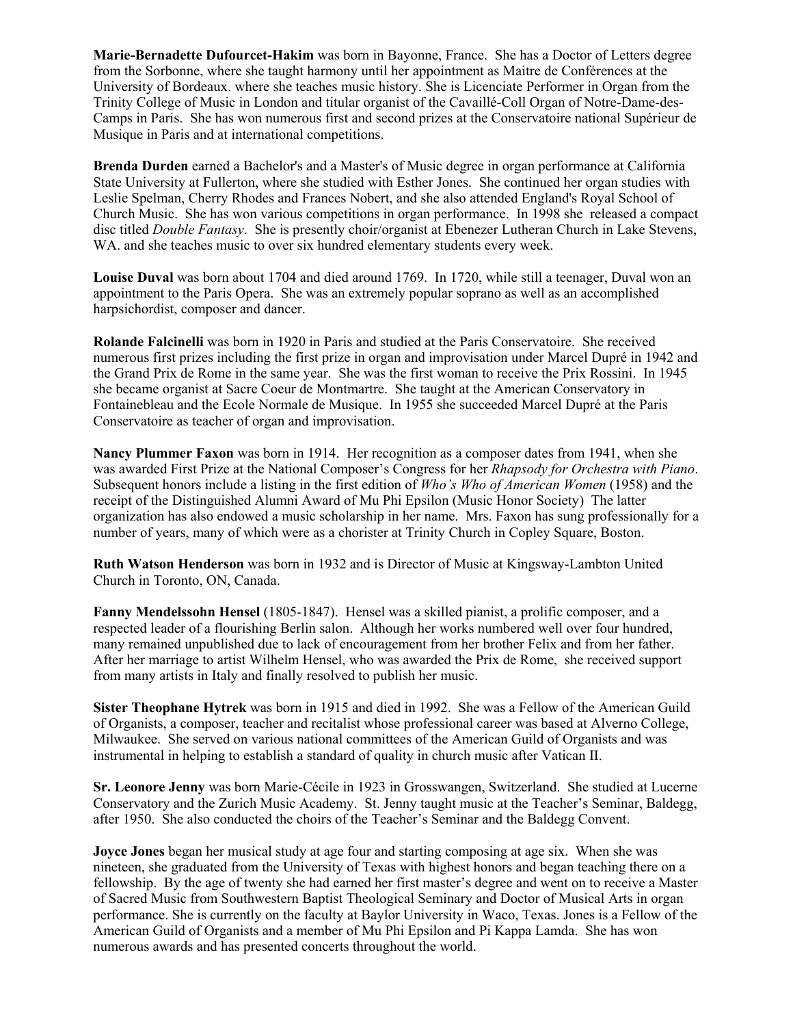**Marie-Bernadette Dufourcet-Hakim** was born in Bayonne, France. She has a Doctor of Letters degree from the Sorbonne, where she taught harmony until her appointment as Maitre de Conférences at the University of Bordeaux. where she teaches music history. She is Licenciate Performer in Organ from the Trinity College of Music in London and titular organist of the Cavaillé-Coll Organ of Notre-Dame-des-Camps in Paris. She has won numerous first and second prizes at the Conservatoire national Supérieur de Musique in Paris and at international competitions.

**Brenda Durden** earned a Bachelor's and a Master's of Music degree in organ performance at California State University at Fullerton, where she studied with Esther Jones. She continued her organ studies with Leslie Spelman, Cherry Rhodes and Frances Nobert, and she also attended England's Royal School of Church Music. She has won various competitions in organ performance. In 1998 she released a compact disc titled *Double Fantasy*. She is presently choir/organist at Ebenezer Lutheran Church in Lake Stevens, WA. and she teaches music to over six hundred elementary students every week.

**Louise Duval** was born about 1704 and died around 1769. In 1720, while still a teenager, Duval won an appointment to the Paris Opera. She was an extremely popular soprano as well as an accomplished harpsichordist, composer and dancer.

**Rolande Falcinelli** was born in 1920 in Paris and studied at the Paris Conservatoire. She received numerous first prizes including the first prize in organ and improvisation under Marcel Dupré in 1942 and the Grand Prix de Rome in the same year. She was the first woman to receive the Prix Rossini. In 1945 she became organist at Sacre Coeur de Montmartre. She taught at the American Conservatory in Fontainebleau and the Ecole Normale de Musique. In 1955 she succeeded Marcel Dupré at the Paris Conservatoire as teacher of organ and improvisation.

**Nancy Plummer Faxon** was born in 1914. Her recognition as a composer dates from 1941, when she was awarded First Prize at the National Composer's Congress for her *Rhapsody for Orchestra with Piano*. Subsequent honors include a listing in the first edition of *Who's Who of American Women* (1958) and the receipt of the Distinguished Alumni Award of Mu Phi Epsilon (Music Honor Society) The latter organization has also endowed a music scholarship in her name. Mrs. Faxon has sung professionally for a number of years, many of which were as a chorister at Trinity Church in Copley Square, Boston.

**Ruth Watson Henderson** was born in 1932 and is Director of Music at Kingsway-Lambton United Church in Toronto, ON, Canada.

**Fanny Mendelssohn Hensel** (1805-1847). Hensel was a skilled pianist, a prolific composer, and a respected leader of a flourishing Berlin salon. Although her works numbered well over four hundred, many remained unpublished due to lack of encouragement from her brother Felix and from her father. After her marriage to artist Wilhelm Hensel, who was awarded the Prix de Rome, she received support from many artists in Italy and finally resolved to publish her music.

**Sister Theophane Hytrek** was born in 1915 and died in 1992. She was a Fellow of the American Guild of Organists, a composer, teacher and recitalist whose professional career was based at Alverno College, Milwaukee. She served on various national committees of the American Guild of Organists and was instrumental in helping to establish a standard of quality in church music after Vatican II.

**Sr. Leonore Jenny** was born Marie-Cécile in 1923 in Grosswangen, Switzerland. She studied at Lucerne Conservatory and the Zurich Music Academy. St. Jenny taught music at the Teacher's Seminar, Baldegg, after 1950. She also conducted the choirs of the Teacher's Seminar and the Baldegg Convent.

**Joyce Jones** began her musical study at age four and starting composing at age six. When she was nineteen, she graduated from the University of Texas with highest honors and began teaching there on a fellowship. By the age of twenty she had earned her first master's degree and went on to receive a Master of Sacred Music from Southwestern Baptist Theological Seminary and Doctor of Musical Arts in organ performance. She is currently on the faculty at Baylor University in Waco, Texas. Jones is a Fellow of the American Guild of Organists and a member of Mu Phi Epsilon and Pi Kappa Lamda. She has won numerous awards and has presented concerts throughout the world.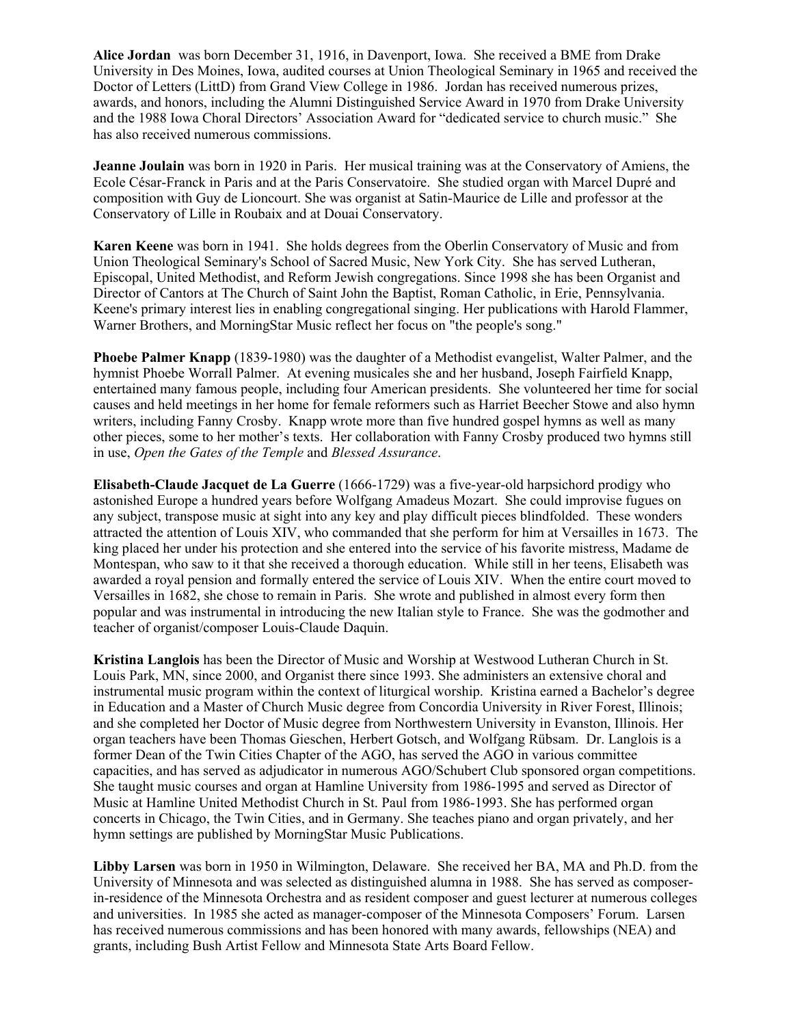**Alice Jordan** was born December 31, 1916, in Davenport, Iowa. She received a BME from Drake University in Des Moines, Iowa, audited courses at Union Theological Seminary in 1965 and received the Doctor of Letters (LittD) from Grand View College in 1986. Jordan has received numerous prizes, awards, and honors, including the Alumni Distinguished Service Award in 1970 from Drake University and the 1988 Iowa Choral Directors' Association Award for "dedicated service to church music." She has also received numerous commissions.

**Jeanne Joulain** was born in 1920 in Paris. Her musical training was at the Conservatory of Amiens, the Ecole César-Franck in Paris and at the Paris Conservatoire. She studied organ with Marcel Dupré and composition with Guy de Lioncourt. She was organist at Satin-Maurice de Lille and professor at the Conservatory of Lille in Roubaix and at Douai Conservatory.

**Karen Keene** was born in 1941. She holds degrees from the Oberlin Conservatory of Music and from Union Theological Seminary's School of Sacred Music, New York City. She has served Lutheran, Episcopal, United Methodist, and Reform Jewish congregations. Since 1998 she has been Organist and Director of Cantors at The Church of Saint John the Baptist, Roman Catholic, in Erie, Pennsylvania. Keene's primary interest lies in enabling congregational singing. Her publications with Harold Flammer, Warner Brothers, and MorningStar Music reflect her focus on "the people's song."

**Phoebe Palmer Knapp** (1839-1980) was the daughter of a Methodist evangelist, Walter Palmer, and the hymnist Phoebe Worrall Palmer. At evening musicales she and her husband, Joseph Fairfield Knapp, entertained many famous people, including four American presidents. She volunteered her time for social causes and held meetings in her home for female reformers such as Harriet Beecher Stowe and also hymn writers, including Fanny Crosby. Knapp wrote more than five hundred gospel hymns as well as many other pieces, some to her mother's texts. Her collaboration with Fanny Crosby produced two hymns still in use, *Open the Gates of the Temple* and *Blessed Assurance*.

**Elisabeth-Claude Jacquet de La Guerre** (1666-1729) was a five-year-old harpsichord prodigy who astonished Europe a hundred years before Wolfgang Amadeus Mozart. She could improvise fugues on any subject, transpose music at sight into any key and play difficult pieces blindfolded. These wonders attracted the attention of Louis XIV, who commanded that she perform for him at Versailles in 1673. The king placed her under his protection and she entered into the service of his favorite mistress, Madame de Montespan, who saw to it that she received a thorough education. While still in her teens, Elisabeth was awarded a royal pension and formally entered the service of Louis XIV. When the entire court moved to Versailles in 1682, she chose to remain in Paris. She wrote and published in almost every form then popular and was instrumental in introducing the new Italian style to France. She was the godmother and teacher of organist/composer Louis-Claude Daquin.

**Kristina Langlois** has been the Director of Music and Worship at Westwood Lutheran Church in St. Louis Park, MN, since 2000, and Organist there since 1993. She administers an extensive choral and instrumental music program within the context of liturgical worship. Kristina earned a Bachelor's degree in Education and a Master of Church Music degree from Concordia University in River Forest, Illinois; and she completed her Doctor of Music degree from Northwestern University in Evanston, Illinois. Her organ teachers have been Thomas Gieschen, Herbert Gotsch, and Wolfgang Rübsam. Dr. Langlois is a former Dean of the Twin Cities Chapter of the AGO, has served the AGO in various committee capacities, and has served as adjudicator in numerous AGO/Schubert Club sponsored organ competitions. She taught music courses and organ at Hamline University from 1986-1995 and served as Director of Music at Hamline United Methodist Church in St. Paul from 1986-1993. She has performed organ concerts in Chicago, the Twin Cities, and in Germany. She teaches piano and organ privately, and her hymn settings are published by MorningStar Music Publications.

**Libby Larsen** was born in 1950 in Wilmington, Delaware. She received her BA, MA and Ph.D. from the University of Minnesota and was selected as distinguished alumna in 1988. She has served as composerin-residence of the Minnesota Orchestra and as resident composer and guest lecturer at numerous colleges and universities. In 1985 she acted as manager-composer of the Minnesota Composers' Forum. Larsen has received numerous commissions and has been honored with many awards, fellowships (NEA) and grants, including Bush Artist Fellow and Minnesota State Arts Board Fellow.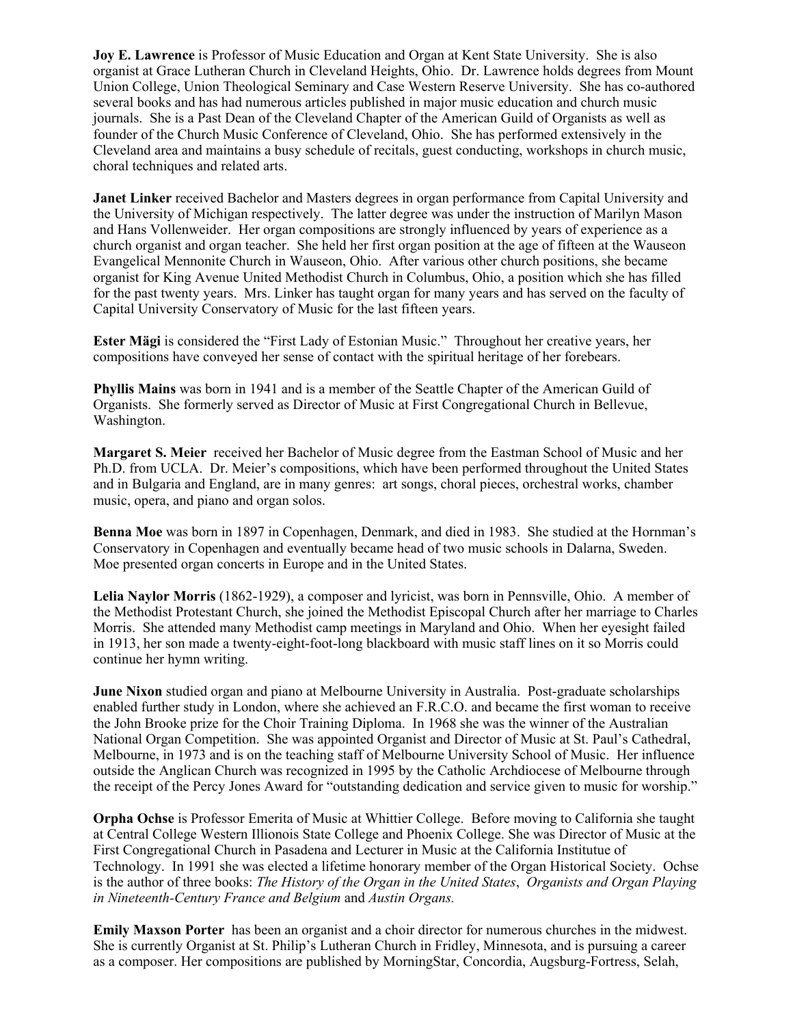**Joy E. Lawrence** is Professor of Music Education and Organ at Kent State University. She is also organist at Grace Lutheran Church in Cleveland Heights, Ohio. Dr. Lawrence holds degrees from Mount Union College, Union Theological Seminary and Case Western Reserve University. She has co-authored several books and has had numerous articles published in major music education and church music journals. She is a Past Dean of the Cleveland Chapter of the American Guild of Organists as well as founder of the Church Music Conference of Cleveland, Ohio. She has performed extensively in the Cleveland area and maintains a busy schedule of recitals, guest conducting, workshops in church music, choral techniques and related arts.

**Janet Linker** received Bachelor and Masters degrees in organ performance from Capital University and the University of Michigan respectively. The latter degree was under the instruction of Marilyn Mason and Hans Vollenweider. Her organ compositions are strongly influenced by years of experience as a church organist and organ teacher. She held her first organ position at the age of fifteen at the Wauseon Evangelical Mennonite Church in Wauseon, Ohio. After various other church positions, she became organist for King Avenue United Methodist Church in Columbus, Ohio, a position which she has filled for the past twenty years. Mrs. Linker has taught organ for many years and has served on the faculty of Capital University Conservatory of Music for the last fifteen years.

**Ester Mägi** is considered the "First Lady of Estonian Music." Throughout her creative years, her compositions have conveyed her sense of contact with the spiritual heritage of her forebears.

**Phyllis Mains** was born in 1941 and is a member of the Seattle Chapter of the American Guild of Organists. She formerly served as Director of Music at First Congregational Church in Bellevue, Washington.

**Margaret S. Meier** received her Bachelor of Music degree from the Eastman School of Music and her Ph.D. from UCLA. Dr. Meier's compositions, which have been performed throughout the United States and in Bulgaria and England, are in many genres: art songs, choral pieces, orchestral works, chamber music, opera, and piano and organ solos.

**Benna Moe** was born in 1897 in Copenhagen, Denmark, and died in 1983. She studied at the Hornman's Conservatory in Copenhagen and eventually became head of two music schools in Dalarna, Sweden. Moe presented organ concerts in Europe and in the United States.

**Lelia Naylor Morris** (1862-1929), a composer and lyricist, was born in Pennsville, Ohio. A member of the Methodist Protestant Church, she joined the Methodist Episcopal Church after her marriage to Charles Morris. She attended many Methodist camp meetings in Maryland and Ohio. When her eyesight failed in 1913, her son made a twenty-eight-foot-long blackboard with music staff lines on it so Morris could continue her hymn writing.

**June Nixon** studied organ and piano at Melbourne University in Australia. Post-graduate scholarships enabled further study in London, where she achieved an F.R.C.O. and became the first woman to receive the John Brooke prize for the Choir Training Diploma. In 1968 she was the winner of the Australian National Organ Competition. She was appointed Organist and Director of Music at St. Paul's Cathedral, Melbourne, in 1973 and is on the teaching staff of Melbourne University School of Music. Her influence outside the Anglican Church was recognized in 1995 by the Catholic Archdiocese of Melbourne through the receipt of the Percy Jones Award for "outstanding dedication and service given to music for worship."

**Orpha Ochse** is Professor Emerita of Music at Whittier College. Before moving to California she taught at Central College Western Illionois State College and Phoenix College. She was Director of Music at the First Congregational Church in Pasadena and Lecturer in Music at the California Institutue of Technology. In 1991 she was elected a lifetime honorary member of the Organ Historical Society. Ochse is the author of three books: *The History of the Organ in the United States*, *Organists and Organ Playing in Nineteenth-Century France and Belgium* and *Austin Organs.*

**Emily Maxson Porter** has been an organist and a choir director for numerous churches in the midwest. She is currently Organist at St. Philip's Lutheran Church in Fridley, Minnesota, and is pursuing a career as a composer. Her compositions are published by MorningStar, Concordia, Augsburg-Fortress, Selah,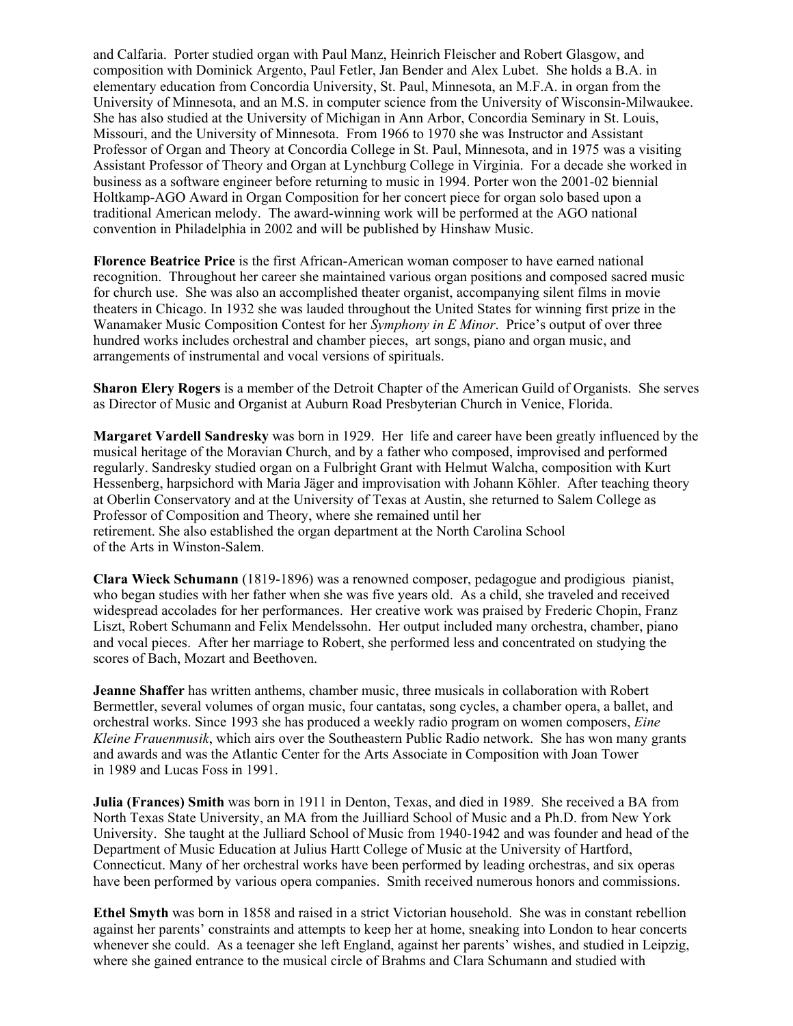and Calfaria. Porter studied organ with Paul Manz, Heinrich Fleischer and Robert Glasgow, and composition with Dominick Argento, Paul Fetler, Jan Bender and Alex Lubet. She holds a B.A. in elementary education from Concordia University, St. Paul, Minnesota, an M.F.A. in organ from the University of Minnesota, and an M.S. in computer science from the University of Wisconsin-Milwaukee. She has also studied at the University of Michigan in Ann Arbor, Concordia Seminary in St. Louis, Missouri, and the University of Minnesota. From 1966 to 1970 she was Instructor and Assistant Professor of Organ and Theory at Concordia College in St. Paul, Minnesota, and in 1975 was a visiting Assistant Professor of Theory and Organ at Lynchburg College in Virginia. For a decade she worked in business as a software engineer before returning to music in 1994. Porter won the 2001-02 biennial Holtkamp-AGO Award in Organ Composition for her concert piece for organ solo based upon a traditional American melody. The award-winning work will be performed at the AGO national convention in Philadelphia in 2002 and will be published by Hinshaw Music.

**Florence Beatrice Price** is the first African-American woman composer to have earned national recognition. Throughout her career she maintained various organ positions and composed sacred music for church use. She was also an accomplished theater organist, accompanying silent films in movie theaters in Chicago. In 1932 she was lauded throughout the United States for winning first prize in the Wanamaker Music Composition Contest for her *Symphony in E Minor*. Price's output of over three hundred works includes orchestral and chamber pieces, art songs, piano and organ music, and arrangements of instrumental and vocal versions of spirituals.

**Sharon Elery Rogers** is a member of the Detroit Chapter of the American Guild of Organists. She serves as Director of Music and Organist at Auburn Road Presbyterian Church in Venice, Florida.

**Margaret Vardell Sandresky** was born in 1929. Her life and career have been greatly influenced by the musical heritage of the Moravian Church, and by a father who composed, improvised and performed regularly. Sandresky studied organ on a Fulbright Grant with Helmut Walcha, composition with Kurt Hessenberg, harpsichord with Maria Jäger and improvisation with Johann Köhler. After teaching theory at Oberlin Conservatory and at the University of Texas at Austin, she returned to Salem College as Professor of Composition and Theory, where she remained until her retirement. She also established the organ department at the North Carolina School of the Arts in Winston-Salem.

**Clara Wieck Schumann** (1819-1896) was a renowned composer, pedagogue and prodigious pianist, who began studies with her father when she was five years old. As a child, she traveled and received widespread accolades for her performances. Her creative work was praised by Frederic Chopin, Franz Liszt, Robert Schumann and Felix Mendelssohn. Her output included many orchestra, chamber, piano and vocal pieces. After her marriage to Robert, she performed less and concentrated on studying the scores of Bach, Mozart and Beethoven.

**Jeanne Shaffer** has written anthems, chamber music, three musicals in collaboration with Robert Bermettler, several volumes of organ music, four cantatas, song cycles, a chamber opera, a ballet, and orchestral works. Since 1993 she has produced a weekly radio program on women composers, *Eine Kleine Frauenmusik*, which airs over the Southeastern Public Radio network. She has won many grants and awards and was the Atlantic Center for the Arts Associate in Composition with Joan Tower in 1989 and Lucas Foss in 1991.

**Julia (Frances) Smith** was born in 1911 in Denton, Texas, and died in 1989. She received a BA from North Texas State University, an MA from the Juilliard School of Music and a Ph.D. from New York University. She taught at the Julliard School of Music from 1940-1942 and was founder and head of the Department of Music Education at Julius Hartt College of Music at the University of Hartford, Connecticut. Many of her orchestral works have been performed by leading orchestras, and six operas have been performed by various opera companies. Smith received numerous honors and commissions.

**Ethel Smyth** was born in 1858 and raised in a strict Victorian household. She was in constant rebellion against her parents' constraints and attempts to keep her at home, sneaking into London to hear concerts whenever she could. As a teenager she left England, against her parents' wishes, and studied in Leipzig, where she gained entrance to the musical circle of Brahms and Clara Schumann and studied with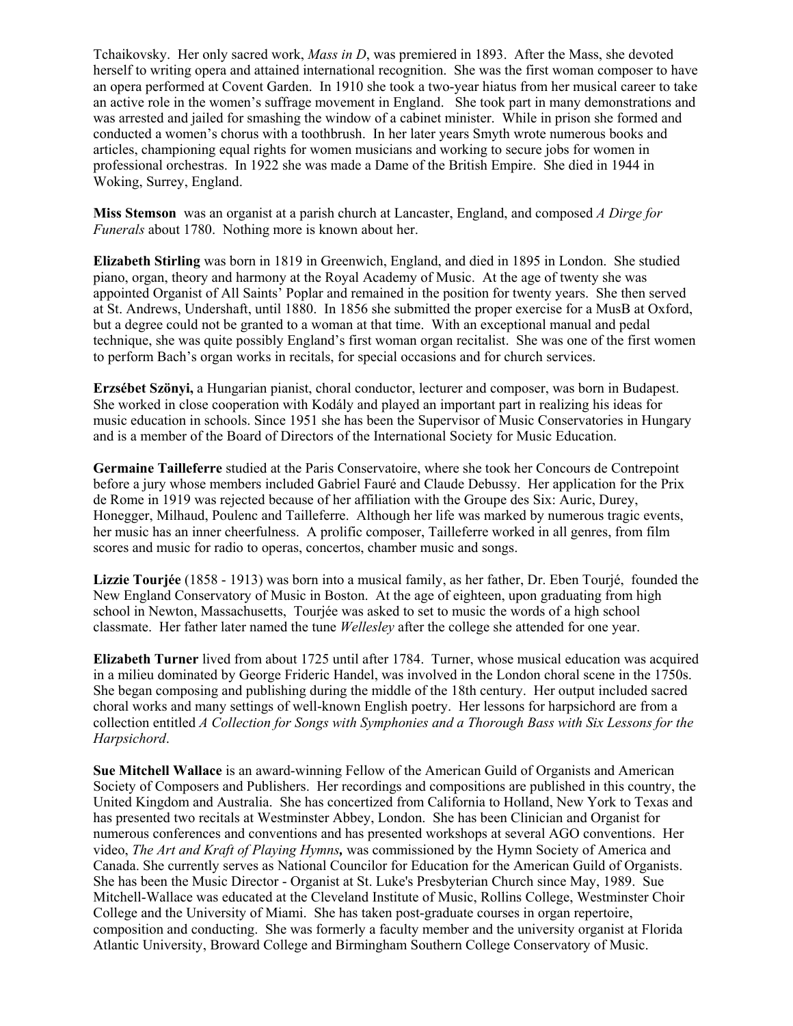Tchaikovsky. Her only sacred work, *Mass in D*, was premiered in 1893. After the Mass, she devoted herself to writing opera and attained international recognition. She was the first woman composer to have an opera performed at Covent Garden. In 1910 she took a two-year hiatus from her musical career to take an active role in the women's suffrage movement in England. She took part in many demonstrations and was arrested and jailed for smashing the window of a cabinet minister. While in prison she formed and conducted a women's chorus with a toothbrush. In her later years Smyth wrote numerous books and articles, championing equal rights for women musicians and working to secure jobs for women in professional orchestras. In 1922 she was made a Dame of the British Empire. She died in 1944 in Woking, Surrey, England.

**Miss Stemson** was an organist at a parish church at Lancaster, England, and composed *A Dirge for Funerals* about 1780. Nothing more is known about her.

**Elizabeth Stirling** was born in 1819 in Greenwich, England, and died in 1895 in London. She studied piano, organ, theory and harmony at the Royal Academy of Music. At the age of twenty she was appointed Organist of All Saints' Poplar and remained in the position for twenty years. She then served at St. Andrews, Undershaft, until 1880. In 1856 she submitted the proper exercise for a MusB at Oxford, but a degree could not be granted to a woman at that time. With an exceptional manual and pedal technique, she was quite possibly England's first woman organ recitalist. She was one of the first women to perform Bach's organ works in recitals, for special occasions and for church services.

**Erzsébet Szönyi,** a Hungarian pianist, choral conductor, lecturer and composer, was born in Budapest. She worked in close cooperation with Kodály and played an important part in realizing his ideas for music education in schools. Since 1951 she has been the Supervisor of Music Conservatories in Hungary and is a member of the Board of Directors of the International Society for Music Education.

**Germaine Tailleferre** studied at the Paris Conservatoire, where she took her Concours de Contrepoint before a jury whose members included Gabriel Fauré and Claude Debussy. Her application for the Prix de Rome in 1919 was rejected because of her affiliation with the Groupe des Six: Auric, Durey, Honegger, Milhaud, Poulenc and Tailleferre. Although her life was marked by numerous tragic events, her music has an inner cheerfulness. A prolific composer, Tailleferre worked in all genres, from film scores and music for radio to operas, concertos, chamber music and songs.

**Lizzie Tourjée** (1858 - 1913) was born into a musical family, as her father, Dr. Eben Tourjé, founded the New England Conservatory of Music in Boston. At the age of eighteen, upon graduating from high school in Newton, Massachusetts, Tourjée was asked to set to music the words of a high school classmate. Her father later named the tune *Wellesley* after the college she attended for one year.

**Elizabeth Turner** lived from about 1725 until after 1784. Turner, whose musical education was acquired in a milieu dominated by George Frideric Handel, was involved in the London choral scene in the 1750s. She began composing and publishing during the middle of the 18th century. Her output included sacred choral works and many settings of well-known English poetry. Her lessons for harpsichord are from a collection entitled *A Collection for Songs with Symphonies and a Thorough Bass with Six Lessons for the Harpsichord*.

**Sue Mitchell Wallace** is an award-winning Fellow of the American Guild of Organists and American Society of Composers and Publishers. Her recordings and compositions are published in this country, the United Kingdom and Australia. She has concertized from California to Holland, New York to Texas and has presented two recitals at Westminster Abbey, London. She has been Clinician and Organist for numerous conferences and conventions and has presented workshops at several AGO conventions. Her video, *The Art and Kraft of Playing Hymns,* was commissioned by the Hymn Society of America and Canada. She currently serves as National Councilor for Education for the American Guild of Organists. She has been the Music Director - Organist at St. Luke's Presbyterian Church since May, 1989. Sue Mitchell-Wallace was educated at the Cleveland Institute of Music, Rollins College, Westminster Choir College and the University of Miami. She has taken post-graduate courses in organ repertoire, composition and conducting. She was formerly a faculty member and the university organist at Florida Atlantic University, Broward College and Birmingham Southern College Conservatory of Music.